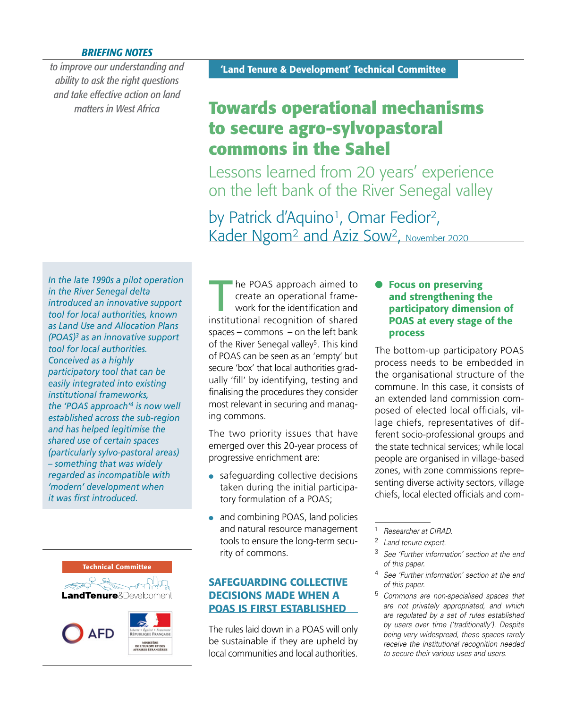#### *BRIEFING NOTES*

*to improve our understanding and ability to ask the right questions and take effective action on land matters in West Africa*

# **Towards operational mechanisms to secure agro-sylvopastoral commons in the Sahel**

Lessons learned from 20 years' experience on the left bank of the River Senegal valley

by Patrick d'Aquino<sup>1</sup>, Omar Fedior<sup>2</sup>, Kader Ngom<sup>2</sup> and Aziz Sow<sup>2</sup>, November 2020

*In the late 1990s a pilot operation in the River Senegal delta introduced an innovative support tool for local authorities, known as Land Use and Allocation Plans (POAS)3 as an innovative support tool for local authorities. Conceived as a highly participatory tool that can be easily integrated into existing institutional frameworks, the 'POAS approach'4 is now well established across the sub-region and has helped legitimise the shared use of certain spaces (particularly sylvo-pastoral areas) – something that was widely regarded as incompatible with 'modern' development when it was first introduced.*



The POAS approach aimed to create an operational framework for the identification and institutional recognition of shared spaces – commons – on the left bank of the River Senegal valley<sup>5</sup>. This kind of POAS can be seen as an 'empty' but secure 'box' that local authorities gradually 'fill' by identifying, testing and finalising the procedures they consider most relevant in securing and managing commons.

The two priority issues that have emerged over this 20-year process of progressive enrichment are:

- safeguarding collective decisions taken during the initial participatory formulation of a POAS;
- and combining POAS, land policies and natural resource management tools to ensure the long-term security of commons.

# SAFEGUARDING COLLECTIVE DECISIONS MADE WHEN A POAS IS FIRST ESTABLISHED

The rules laid down in a POAS will only be sustainable if they are upheld by local communities and local authorities.

#### **Focus on preserving** and strengthening the participatory dimension of POAS at every stage of the process

The bottom-up participatory POAS process needs to be embedded in the organisational structure of the commune. In this case, it consists of an extended land commission composed of elected local officials, village chiefs, representatives of different socio-professional groups and the state technical services; while local people are organised in village-based zones, with zone commissions representing diverse activity sectors, village chiefs, local elected officials and com-

- <sup>2</sup> *Land tenure expert.*
- <sup>3</sup> *See 'Further information' section at the end of this paper.*
- <sup>4</sup> *See 'Further information' section at the end of this paper.*
- <sup>5</sup> *Commons are non-specialised spaces that are not privately appropriated, and which are regulated by a set of rules established by users over time ('traditionally'). Despite being very widespread, these spaces rarely receive the institutional recognition needed to secure their various uses and users.*

<sup>1</sup> *Researcher at CIRAD.*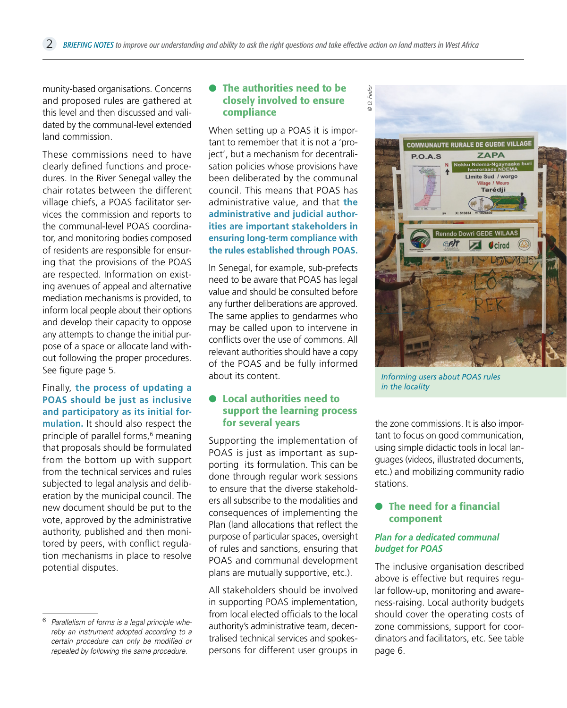munity-based organisations. Concerns and proposed rules are gathered at this level and then discussed and validated by the communal-level extended land commission.

These commissions need to have clearly defined functions and procedures. In the River Senegal valley the chair rotates between the different village chiefs, a POAS facilitator services the commission and reports to the communal-level POAS coordinator, and monitoring bodies composed of residents are responsible for ensuring that the provisions of the POAS are respected. Information on existing avenues of appeal and alternative mediation mechanisms is provided, to inform local people about their options and develop their capacity to oppose any attempts to change the initial purpose of a space or allocate land without following the proper procedures. See figure page 5.

Finally, **the process of updating a POAS should be just as inclusive and participatory as its initial formulation.** It should also respect the principle of parallel forms,<sup>6</sup> meaning that proposals should be formulated from the bottom up with support from the technical services and rules subjected to legal analysis and deliberation by the municipal council. The new document should be put to the vote, approved by the administrative authority, published and then monitored by peers, with conflict regulation mechanisms in place to resolve potential disputes.

#### **• The authorities need to be** closely involved to ensure compliance

When setting up a POAS it is important to remember that it is not a 'project', but a mechanism for decentralisation policies whose provisions have been deliberated by the communal council. This means that POAS has administrative value, and that **the administrative and judicial authorities are important stakeholders in ensuring long-term compliance with the rules established through POAS.**

In Senegal, for example, sub-prefects need to be aware that POAS has legal value and should be consulted before any further deliberations are approved. The same applies to gendarmes who may be called upon to intervene in conflicts over the use of commons. All relevant authorities should have a copy of the POAS and be fully informed about its content.

#### **• Local authorities need to** support the learning process for several years

Supporting the implementation of POAS is just as important as supporting its formulation. This can be done through regular work sessions to ensure that the diverse stakeholders all subscribe to the modalities and consequences of implementing the Plan (land allocations that reflect the purpose of particular spaces, oversight of rules and sanctions, ensuring that POAS and communal development plans are mutually supportive, etc.).

All stakeholders should be involved in supporting POAS implementation, from local elected officials to the local authority's administrative team, decentralised technical services and spokespersons for different user groups in



*Informing users about POAS rules in the locality* 

the zone commissions. It is also important to focus on good communication, using simple didactic tools in local languages (videos, illustrated documents, etc.) and mobilizing community radio stations.

#### **•** The need for a financial component

#### *Plan for a dedicated communal budget for POAS*

The inclusive organisation described above is effective but requires regular follow-up, monitoring and awareness-raising. Local authority budgets should cover the operating costs of zone commissions, support for coordinators and facilitators, etc. See table page 6.

<sup>6</sup> *Parallelism of forms is a legal principle whereby an instrument adopted according to a certain procedure can only be modified or repealed by following the same procedure.*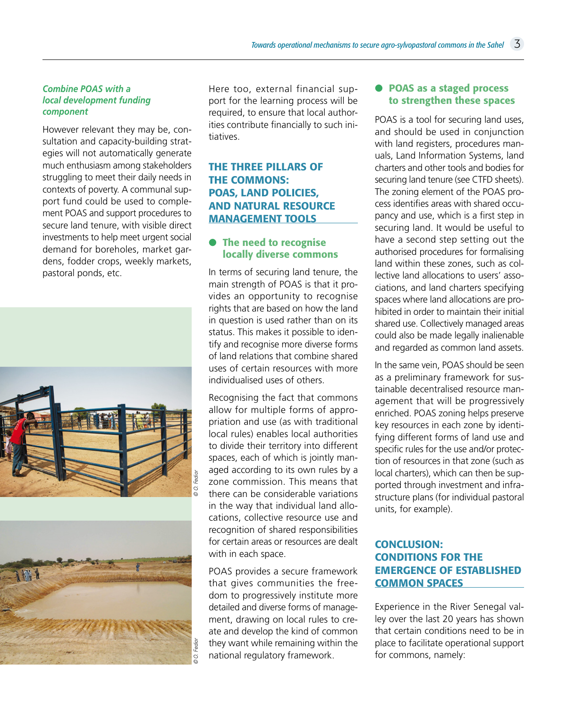#### *Combine POAS with a local development funding component*

However relevant they may be, consultation and capacity-building strategies will not automatically generate much enthusiasm among stakeholders struggling to meet their daily needs in contexts of poverty. A communal support fund could be used to complement POAS and support procedures to secure land tenure, with visible direct investments to help meet urgent social demand for boreholes, market gardens, fodder crops, weekly markets, pastoral ponds, etc.





Here too, external financial support for the learning process will be required, to ensure that local authorities contribute financially to such initiatives.

## THE THREE PILLARS OF THE COMMONS: POAS, LAND POLICIES, AND NATURAL RESOURCE MANAGEMENT TOOLS

### **• The need to recognise** locally diverse commons

In terms of securing land tenure, the main strength of POAS is that it provides an opportunity to recognise rights that are based on how the land in question is used rather than on its status. This makes it possible to identify and recognise more diverse forms of land relations that combine shared uses of certain resources with more individualised uses of others.

Recognising the fact that commons allow for multiple forms of appropriation and use (as with traditional local rules) enables local authorities to divide their territory into different spaces, each of which is jointly managed according to its own rules by a zone commission. This means that there can be considerable variations in the way that individual land allocations, collective resource use and recognition of shared responsibilities for certain areas or resources are dealt with in each space.

POAS provides a secure framework that gives communities the freedom to progressively institute more detailed and diverse forms of management, drawing on local rules to create and develop the kind of common they want while remaining within the national regulatory framework.

#### **• POAS as a staged process** to strengthen these spaces

POAS is a tool for securing land uses, and should be used in conjunction with land registers, procedures manuals, Land Information Systems, land charters and other tools and bodies for securing land tenure (see CTFD sheets). The zoning element of the POAS process identifies areas with shared occupancy and use, which is a first step in securing land. It would be useful to have a second step setting out the authorised procedures for formalising land within these zones, such as collective land allocations to users' associations, and land charters specifying spaces where land allocations are prohibited in order to maintain their initial shared use. Collectively managed areas could also be made legally inalienable and regarded as common land assets.

In the same vein, POAS should be seen as a preliminary framework for sustainable decentralised resource management that will be progressively enriched. POAS zoning helps preserve key resources in each zone by identifying different forms of land use and specific rules for the use and/or protection of resources in that zone (such as local charters), which can then be supported through investment and infrastructure plans (for individual pastoral units, for example).

## CONCLUSION: CONDITIONS FOR THE EMERGENCE OF ESTABLISHED COMMON SPACES

Experience in the River Senegal valley over the last 20 years has shown that certain conditions need to be in place to facilitate operational support for commons, namely: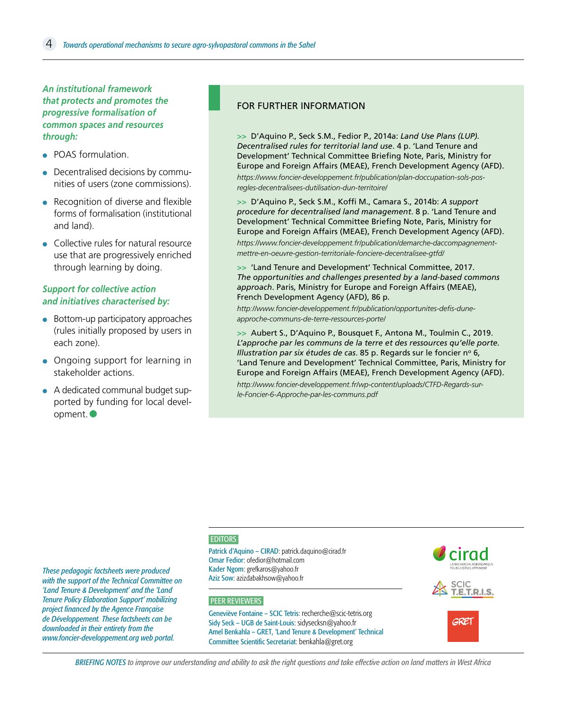*An institutional framework that protects and promotes the progressive formalisation of common spaces and resources through:*

- POAS formulation
- Decentralised decisions by communities of users (zone commissions).
- Recognition of diverse and flexible forms of formalisation (institutional and land).
- Collective rules for natural resource use that are progressively enriched through learning by doing.

#### *Support for collective action and initiatives characterised by:*

- Bottom-up participatory approaches (rules initially proposed by users in each zone).
- Ongoing support for learning in stakeholder actions.
- A dedicated communal budget supported by funding for local development.●

*These pedagogic factsheets were produced with the support of the Technical Committee on 'Land Tenure & Development' and the 'Land Tenure Policy Elaboration Support' mobilizing project financed by the Agence Française de Développement. These factsheets can be downloaded in their entirety from the www.foncier-developpement.org web portal.*

#### FOR FURTHER INFORMATION

**>>** D'Aquino P., Seck S.M., Fedior P., 2014a: *Land Use Plans (LUP). Decentralised rules for territorial land use*. 4 p. 'Land Tenure and Development' Technical Committee Briefing Note, Paris, Ministry for Europe and Foreign Affairs (MEAE), French Development Agency (AFD).

*[https://www.foncier-developpement.fr/publication/plan-doccupation-sols-pos](https://www.foncier-developpement.fr/publication/plan-doccupation-sols-pos-regles-decentralisees-dutilisation-dun-territoire/)[regles-decentralisees-dutilisation-dun-territoire/](https://www.foncier-developpement.fr/publication/plan-doccupation-sols-pos-regles-decentralisees-dutilisation-dun-territoire/)*

**>>** D'Aquino P., Seck S.M., Koffi M., Camara S., 2014b: *A support procedure for decentralised land management*. 8 p. 'Land Tenure and Development' Technical Committee Briefing Note, Paris, Ministry for Europe and Foreign Affairs (MEAE), French Development Agency (AFD). *[https://www.foncier-developpement.fr/publication/demarche-daccompagnement](https://www.foncier-developpement.fr/publication/demarche-daccompagnement-mettre-en-oeuvre-gestion-territoriale-fonciere-decentralisee-gtfd/)[mettre-en-oeuvre-gestion-territoriale-fonciere-decentralisee-gtfd/](https://www.foncier-developpement.fr/publication/demarche-daccompagnement-mettre-en-oeuvre-gestion-territoriale-fonciere-decentralisee-gtfd/)*

**>>** 'Land Tenure and Development' Technical Committee, 2017. *The opportunities and challenges presented by a land-based commons approach*. Paris, Ministry for Europe and Foreign Affairs (MEAE), French Development Agency (AFD), 86 p.

*[http://www.foncier-developpement.fr/publication/opportunites-defis-dune](http://www.foncier-developpement.fr/publication/opportunites-defis-dune-approche-communs-de-terre-ressources-porte/)[approche-communs-de-terre-ressources-porte/](http://www.foncier-developpement.fr/publication/opportunites-defis-dune-approche-communs-de-terre-ressources-porte/)*

**>>** [Aubert S., D'Aquino P., Bousquet F., Antona M., Toulmin C., 2019.](http://www.foncier-developpement.fr/wp-content/uploads/CTFD-Regards-sur-le-Foncier-6-Approche-par-les-communs.pdf)  *[L'approche par les communs de la terre et des ressources qu'elle porte.](http://www.foncier-developpement.fr/wp-content/uploads/CTFD-Regards-sur-le-Foncier-6-Approche-par-les-communs.pdf)  Illustration par six études de cas*. 85 p. Regards sur le foncier nº 6, ['Land Tenure and Development' Technical Committee, Paris, Ministry for](http://www.foncier-developpement.fr/wp-content/uploads/CTFD-Regards-sur-le-Foncier-6-Approche-par-les-communs.pdf)  [Europe and Foreign Affairs \(MEAE\), French Development Agency \(AFD\).](http://www.foncier-developpement.fr/wp-content/uploads/CTFD-Regards-sur-le-Foncier-6-Approche-par-les-communs.pdf)

*[http://www.foncier-developpement.fr/wp-content/uploads/CTFD-Regards-sur](http://www.foncier-developpement.fr/wp-content/uploads/CTFD-Regards-sur-le-Foncier-6-Approche-par-les-communs.pdf)[le-Foncier-6-Approche-par-les-communs.pdf](http://www.foncier-developpement.fr/wp-content/uploads/CTFD-Regards-sur-le-Foncier-6-Approche-par-les-communs.pdf)*

#### **EDITORS**

Patrick d'Aquino – CIRAD: patrick.daquino@cirad.fr Omar Fedior: ofedior@hotmail.com Kader Ngom: grefkaros@yahoo.fr Aziz Sow: azizdabakhsow@yahoo.fr

#### PEER REVIEWERS

Geneviève Fontaine – SCIC Tetris: recherche@scic-tetris.org Sidy Seck – UGB de Saint-Louis: sidysecksn@yahoo.fr Amel Benkahla – GRET, 'Land Tenure & Development' Technical Committee Scientific Secretariat: benkahla@gret.org

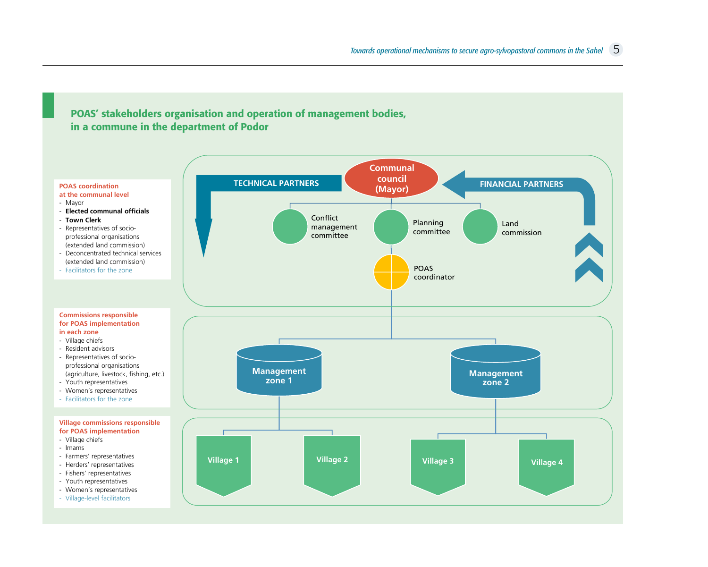